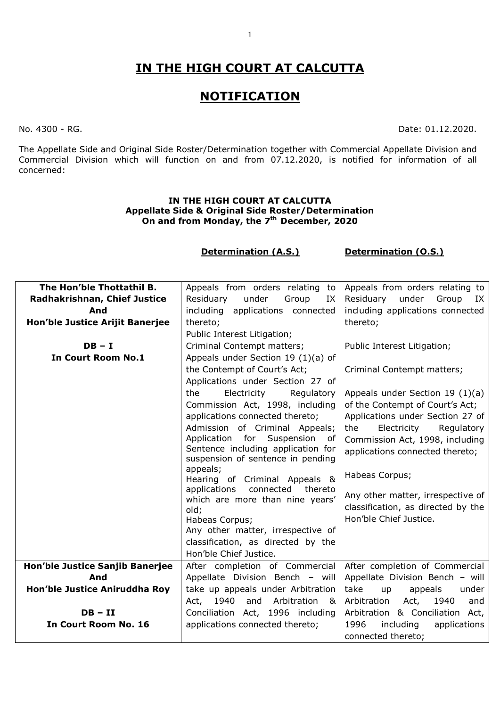# **IN THE HIGH COURT AT CALCUTTA**

## **NOTIFICATION**

No. 4300 - RG. Date: 01.12.2020.

The Appellate Side and Original Side Roster/Determination together with Commercial Appellate Division and Commercial Division which will function on and from 07.12.2020, is notified for information of all concerned:

#### **IN THE HIGH COURT AT CALCUTTA Appellate Side & Original Side Roster/Determination On and from Monday, the 7 th December, 2020**

#### **Determination (A.S.) Determination (O.S.)**

| Radhakrishnan, Chief Justice<br>under<br>Residuary<br>Group<br>Residuary<br>under<br>Group<br>IX<br>IX<br>including applications connected<br>including applications connected<br>And<br>Hon'ble Justice Arijit Banerjee<br>thereto;<br>thereto;<br>Public Interest Litigation;<br>Criminal Contempt matters;<br>$DB - I$<br>Public Interest Litigation;<br>Appeals under Section 19 (1)(a) of<br><b>In Court Room No.1</b><br>the Contempt of Court's Act;<br>Criminal Contempt matters;<br>Applications under Section 27 of<br>the<br>Electricity<br>Regulatory<br>Appeals under Section 19 $(1)(a)$<br>Commission Act, 1998, including<br>of the Contempt of Court's Act;<br>Applications under Section 27 of<br>applications connected thereto;<br>Admission of Criminal Appeals;<br>Electricity<br>the<br>Regulatory |
|---------------------------------------------------------------------------------------------------------------------------------------------------------------------------------------------------------------------------------------------------------------------------------------------------------------------------------------------------------------------------------------------------------------------------------------------------------------------------------------------------------------------------------------------------------------------------------------------------------------------------------------------------------------------------------------------------------------------------------------------------------------------------------------------------------------------------|
|                                                                                                                                                                                                                                                                                                                                                                                                                                                                                                                                                                                                                                                                                                                                                                                                                           |
|                                                                                                                                                                                                                                                                                                                                                                                                                                                                                                                                                                                                                                                                                                                                                                                                                           |
|                                                                                                                                                                                                                                                                                                                                                                                                                                                                                                                                                                                                                                                                                                                                                                                                                           |
|                                                                                                                                                                                                                                                                                                                                                                                                                                                                                                                                                                                                                                                                                                                                                                                                                           |
|                                                                                                                                                                                                                                                                                                                                                                                                                                                                                                                                                                                                                                                                                                                                                                                                                           |
|                                                                                                                                                                                                                                                                                                                                                                                                                                                                                                                                                                                                                                                                                                                                                                                                                           |
|                                                                                                                                                                                                                                                                                                                                                                                                                                                                                                                                                                                                                                                                                                                                                                                                                           |
|                                                                                                                                                                                                                                                                                                                                                                                                                                                                                                                                                                                                                                                                                                                                                                                                                           |
|                                                                                                                                                                                                                                                                                                                                                                                                                                                                                                                                                                                                                                                                                                                                                                                                                           |
|                                                                                                                                                                                                                                                                                                                                                                                                                                                                                                                                                                                                                                                                                                                                                                                                                           |
|                                                                                                                                                                                                                                                                                                                                                                                                                                                                                                                                                                                                                                                                                                                                                                                                                           |
|                                                                                                                                                                                                                                                                                                                                                                                                                                                                                                                                                                                                                                                                                                                                                                                                                           |
| Application for<br>Suspension<br>оf<br>Commission Act, 1998, including                                                                                                                                                                                                                                                                                                                                                                                                                                                                                                                                                                                                                                                                                                                                                    |
| Sentence including application for<br>applications connected thereto;                                                                                                                                                                                                                                                                                                                                                                                                                                                                                                                                                                                                                                                                                                                                                     |
| suspension of sentence in pending                                                                                                                                                                                                                                                                                                                                                                                                                                                                                                                                                                                                                                                                                                                                                                                         |
| appeals;<br>Habeas Corpus;<br>Hearing of Criminal Appeals &                                                                                                                                                                                                                                                                                                                                                                                                                                                                                                                                                                                                                                                                                                                                                               |
| connected<br>thereto<br>applications                                                                                                                                                                                                                                                                                                                                                                                                                                                                                                                                                                                                                                                                                                                                                                                      |
| Any other matter, irrespective of<br>which are more than nine years'                                                                                                                                                                                                                                                                                                                                                                                                                                                                                                                                                                                                                                                                                                                                                      |
| classification, as directed by the<br>old;                                                                                                                                                                                                                                                                                                                                                                                                                                                                                                                                                                                                                                                                                                                                                                                |
| Hon'ble Chief Justice.<br>Habeas Corpus;                                                                                                                                                                                                                                                                                                                                                                                                                                                                                                                                                                                                                                                                                                                                                                                  |
| Any other matter, irrespective of                                                                                                                                                                                                                                                                                                                                                                                                                                                                                                                                                                                                                                                                                                                                                                                         |
| classification, as directed by the                                                                                                                                                                                                                                                                                                                                                                                                                                                                                                                                                                                                                                                                                                                                                                                        |
| Hon'ble Chief Justice.                                                                                                                                                                                                                                                                                                                                                                                                                                                                                                                                                                                                                                                                                                                                                                                                    |
| Hon'ble Justice Sanjib Banerjee<br>After completion of Commercial<br>After completion of Commercial                                                                                                                                                                                                                                                                                                                                                                                                                                                                                                                                                                                                                                                                                                                       |
| Appellate Division Bench - will<br>Appellate Division Bench - will<br>And                                                                                                                                                                                                                                                                                                                                                                                                                                                                                                                                                                                                                                                                                                                                                 |
| Hon'ble Justice Aniruddha Roy<br>take<br>take up appeals under Arbitration<br>appeals<br>under<br>up                                                                                                                                                                                                                                                                                                                                                                                                                                                                                                                                                                                                                                                                                                                      |
| Arbitration<br>Act,<br>Act,<br>1940<br>and<br>Arbitration<br>1940<br>8<br>and                                                                                                                                                                                                                                                                                                                                                                                                                                                                                                                                                                                                                                                                                                                                             |
| $DB - II$<br>Arbitration & Conciliation Act,<br>Conciliation Act, 1996 including                                                                                                                                                                                                                                                                                                                                                                                                                                                                                                                                                                                                                                                                                                                                          |
| In Court Room No. 16<br>applications connected thereto;<br>1996<br>applications<br>including                                                                                                                                                                                                                                                                                                                                                                                                                                                                                                                                                                                                                                                                                                                              |
| connected thereto;                                                                                                                                                                                                                                                                                                                                                                                                                                                                                                                                                                                                                                                                                                                                                                                                        |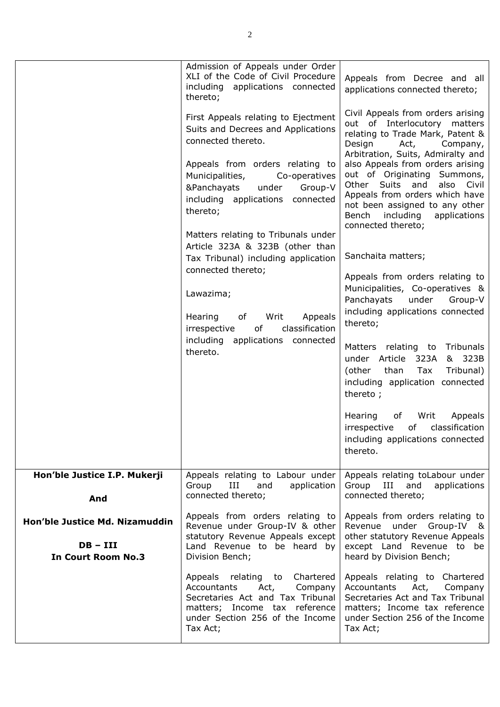|                                                                           | Admission of Appeals under Order<br>XLI of the Code of Civil Procedure<br>including applications connected<br>thereto;                                                                                    | Appeals from Decree and all<br>applications connected thereto;                                                                                                                                                                                                                  |
|---------------------------------------------------------------------------|-----------------------------------------------------------------------------------------------------------------------------------------------------------------------------------------------------------|---------------------------------------------------------------------------------------------------------------------------------------------------------------------------------------------------------------------------------------------------------------------------------|
|                                                                           | First Appeals relating to Ejectment<br>Suits and Decrees and Applications<br>connected thereto.<br>Appeals from orders relating to<br>Municipalities,<br>Co-operatives<br>Group-V<br>&Panchayats<br>under | Civil Appeals from orders arising<br>out of Interlocutory matters<br>relating to Trade Mark, Patent &<br>Design<br>Act,<br>Company,<br>Arbitration, Suits, Admiralty and<br>also Appeals from orders arising<br>out of Originating Summons,<br>Other Suits and<br>also<br>Civil |
|                                                                           | including applications<br>connected<br>thereto;                                                                                                                                                           | Appeals from orders which have<br>not been assigned to any other<br>Bench<br>including<br>applications<br>connected thereto;                                                                                                                                                    |
|                                                                           | Matters relating to Tribunals under<br>Article 323A & 323B (other than<br>Tax Tribunal) including application                                                                                             | Sanchaita matters;                                                                                                                                                                                                                                                              |
|                                                                           | connected thereto;<br>Lawazima;<br>Writ<br>Appeals<br>Hearing<br>of                                                                                                                                       | Appeals from orders relating to<br>Municipalities, Co-operatives &<br>Panchayats<br>under<br>Group-V<br>including applications connected<br>thereto;                                                                                                                            |
|                                                                           | of<br>classification<br>irrespective<br>including applications connected<br>thereto.                                                                                                                      | Matters relating to Tribunals<br>under Article 323A<br>& 323B<br>than<br>Tax<br>Tribunal)<br>(other<br>including application connected<br>thereto;                                                                                                                              |
|                                                                           |                                                                                                                                                                                                           | Hearing<br>Writ<br>Appeals<br>оf<br>classification<br>irrespective<br>of<br>including applications connected<br>thereto.                                                                                                                                                        |
| Hon'ble Justice I.P. Mukerji<br>And                                       | Appeals relating to Labour under<br>Group<br>application<br>III<br>and<br>connected thereto;                                                                                                              | Appeals relating toLabour under<br>Group III<br>and<br>applications<br>connected thereto;                                                                                                                                                                                       |
| Hon'ble Justice Md. Nizamuddin<br>$DB - III$<br><b>In Court Room No.3</b> | Appeals from orders relating to<br>Revenue under Group-IV & other<br>statutory Revenue Appeals except<br>Land Revenue to be heard by<br>Division Bench;                                                   | Appeals from orders relating to<br>under Group-IV &<br>Revenue<br>other statutory Revenue Appeals<br>except Land Revenue to be<br>heard by Division Bench;                                                                                                                      |
|                                                                           | Appeals relating to Chartered<br>Accountants<br>Act,<br>Company<br>Secretaries Act and Tax Tribunal<br>matters; Income tax reference<br>under Section 256 of the Income<br>Tax Act;                       | Appeals relating to Chartered<br>Accountants<br>Company<br>Act,<br>Secretaries Act and Tax Tribunal<br>matters; Income tax reference<br>under Section 256 of the Income<br>Tax Act;                                                                                             |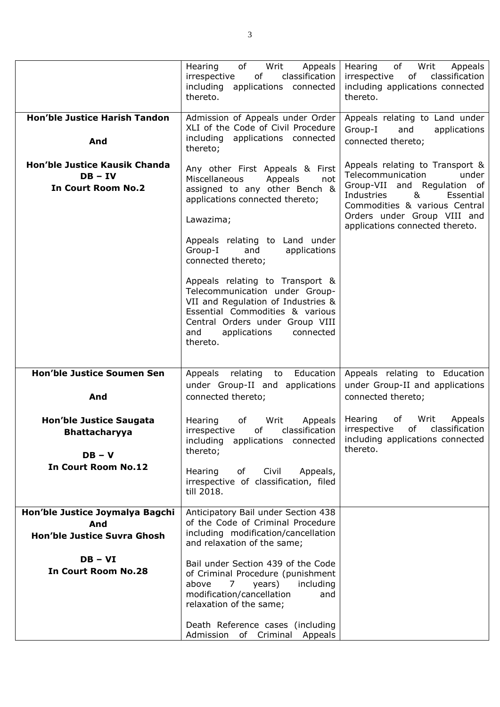|                                                                                                  | of<br>Writ<br>Appeals<br>Hearing<br>classification<br>of<br>irrespective<br>applications connected<br>including<br>thereto.                                                                                                                                                      | Hearing<br>of<br>Writ<br>Appeals<br>irrespective<br>of<br>classification<br>including applications connected<br>thereto.                                                                                                        |
|--------------------------------------------------------------------------------------------------|----------------------------------------------------------------------------------------------------------------------------------------------------------------------------------------------------------------------------------------------------------------------------------|---------------------------------------------------------------------------------------------------------------------------------------------------------------------------------------------------------------------------------|
| <b>Hon'ble Justice Harish Tandon</b><br>And                                                      | Admission of Appeals under Order<br>XLI of the Code of Civil Procedure<br>including applications connected<br>thereto;                                                                                                                                                           | Appeals relating to Land under<br>Group-I<br>and<br>applications<br>connected thereto;                                                                                                                                          |
| Hon'ble Justice Kausik Chanda<br>$DB - IV$<br><b>In Court Room No.2</b>                          | Any other First Appeals & First<br>Miscellaneous<br>Appeals<br>not<br>assigned to any other Bench &<br>applications connected thereto;<br>Lawazima;<br>Appeals relating to Land under<br>Group-I<br>and<br>applications<br>connected thereto;<br>Appeals relating to Transport & | Appeals relating to Transport &<br>Telecommunication<br>under<br>Group-VII and Regulation of<br>Industries<br>&<br>Essential<br>Commodities & various Central<br>Orders under Group VIII and<br>applications connected thereto. |
|                                                                                                  | Telecommunication under Group-<br>VII and Regulation of Industries &<br>Essential Commodities & various<br>Central Orders under Group VIII<br>applications<br>and<br>connected<br>thereto.                                                                                       |                                                                                                                                                                                                                                 |
| <b>Hon'ble Justice Soumen Sen</b><br>And                                                         | Education<br>Appeals<br>relating<br>to<br>under Group-II and applications<br>connected thereto;                                                                                                                                                                                  | Appeals relating to Education<br>under Group-II and applications<br>connected thereto;                                                                                                                                          |
| <b>Hon'ble Justice Saugata</b><br><b>Bhattacharyya</b><br>$DB - V$<br><b>In Court Room No.12</b> | Hearing<br>of<br>Writ<br>Appeals<br>of<br>classification<br>irrespective<br>including<br>applications connected<br>thereto;<br>of<br>Civil<br>Hearing<br>Appeals,<br>irrespective of classification, filed<br>till 2018.                                                         | Hearing<br>of<br>Writ<br>Appeals<br>classification<br>irrespective<br>of<br>including applications connected<br>thereto.                                                                                                        |
| Hon'ble Justice Joymalya Bagchi<br>And<br>Hon'ble Justice Suvra Ghosh                            | Anticipatory Bail under Section 438<br>of the Code of Criminal Procedure<br>including modification/cancellation<br>and relaxation of the same;                                                                                                                                   |                                                                                                                                                                                                                                 |
| $DB - VI$<br><b>In Court Room No.28</b>                                                          | Bail under Section 439 of the Code<br>of Criminal Procedure (punishment<br>years)<br>including<br>above<br>7<br>modification/cancellation<br>and<br>relaxation of the same;                                                                                                      |                                                                                                                                                                                                                                 |
|                                                                                                  |                                                                                                                                                                                                                                                                                  |                                                                                                                                                                                                                                 |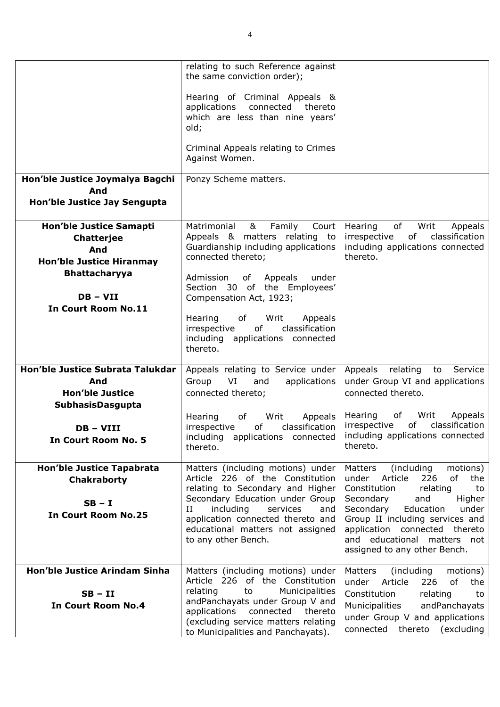|                                                                                                                                                            | relating to such Reference against<br>the same conviction order);                                                                                                                                                                                                                          |                                                                                                                                                                                                                                                                                                                 |
|------------------------------------------------------------------------------------------------------------------------------------------------------------|--------------------------------------------------------------------------------------------------------------------------------------------------------------------------------------------------------------------------------------------------------------------------------------------|-----------------------------------------------------------------------------------------------------------------------------------------------------------------------------------------------------------------------------------------------------------------------------------------------------------------|
|                                                                                                                                                            | Hearing of Criminal Appeals &<br>applications<br>connected<br>thereto<br>which are less than nine years'<br>old;                                                                                                                                                                           |                                                                                                                                                                                                                                                                                                                 |
|                                                                                                                                                            | Criminal Appeals relating to Crimes<br>Against Women.                                                                                                                                                                                                                                      |                                                                                                                                                                                                                                                                                                                 |
| Hon'ble Justice Joymalya Bagchi<br>And<br>Hon'ble Justice Jay Sengupta                                                                                     | Ponzy Scheme matters.                                                                                                                                                                                                                                                                      |                                                                                                                                                                                                                                                                                                                 |
| <b>Hon'ble Justice Samapti</b><br>Chatterjee<br>And<br><b>Hon'ble Justice Hiranmay</b><br><b>Bhattacharyya</b><br>$DB - VII$<br><b>In Court Room No.11</b> | Matrimonial<br>&<br>Family<br>Court<br>Appeals & matters relating to<br>Guardianship including applications<br>connected thereto;<br>of Appeals<br>Admission<br>under<br>Section 30 of the Employees'<br>Compensation Act, 1923;                                                           | of<br>Writ<br>Hearing<br>Appeals<br>irrespective<br>of classification<br>including applications connected<br>thereto.                                                                                                                                                                                           |
|                                                                                                                                                            | Hearing<br>of<br>Writ<br>Appeals<br>of<br>classification<br>irrespective<br>including applications connected<br>thereto.                                                                                                                                                                   |                                                                                                                                                                                                                                                                                                                 |
| Hon'ble Justice Subrata Talukdar<br>And<br><b>Hon'ble Justice</b><br>SubhasisDasgupta                                                                      | Appeals relating to Service under<br>Group<br>VI<br>applications<br>and<br>connected thereto;                                                                                                                                                                                              | Appeals relating<br>Service<br>to<br>under Group VI and applications<br>connected thereto.                                                                                                                                                                                                                      |
| DB – VIII<br><b>In Court Room No. 5</b>                                                                                                                    | Hearing<br>of<br>Writ<br>Appeals<br>classification<br>irrespective<br>of<br>including applications connected<br>thereto.                                                                                                                                                                   | Hearing<br>Appeals<br>of<br>Writ<br>irrespective<br>of<br>classification<br>including applications connected<br>thereto.                                                                                                                                                                                        |
| Hon'ble Justice Tapabrata<br><b>Chakraborty</b><br>$SB - I$<br><b>In Court Room No.25</b>                                                                  | Matters (including motions) under<br>Article 226 of the Constitution<br>relating to Secondary and Higher<br>Secondary Education under Group<br>$_{\rm II}$<br>including<br>services<br>and<br>application connected thereto and<br>educational matters not assigned<br>to any other Bench. | (including<br>motions)<br>Matters<br>of<br>under<br>Article<br>226<br>the<br>Constitution<br>relating<br>to<br>Higher<br>Secondary<br>and<br>Secondary<br>Education<br>under<br>Group II including services and<br>application connected thereto<br>and educational matters not<br>assigned to any other Bench. |
| <b>Hon'ble Justice Arindam Sinha</b><br>$SB - II$<br><b>In Court Room No.4</b>                                                                             | Matters (including motions) under<br>Article 226 of the Constitution<br>Municipalities<br>relating<br>to<br>andPanchayats under Group V and<br>applications<br>connected<br>thereto<br>(excluding service matters relating<br>to Municipalities and Panchayats).                           | Matters<br>(including<br>motions)<br>under<br>Article<br>of<br>226<br>the<br>Constitution<br>relating<br>to<br>Municipalities<br>andPanchayats<br>under Group V and applications<br>connected thereto (excluding                                                                                                |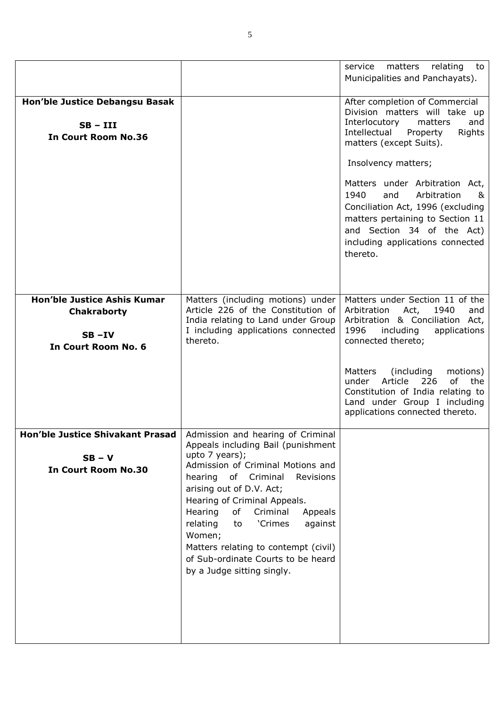|                                                                                                                |                                                                                                                                                                                                                                                                                                                                                                                                    | matters<br>relating<br>service<br>to<br>Municipalities and Panchayats).                                                                                                                                                                                                                                                                                                                                    |
|----------------------------------------------------------------------------------------------------------------|----------------------------------------------------------------------------------------------------------------------------------------------------------------------------------------------------------------------------------------------------------------------------------------------------------------------------------------------------------------------------------------------------|------------------------------------------------------------------------------------------------------------------------------------------------------------------------------------------------------------------------------------------------------------------------------------------------------------------------------------------------------------------------------------------------------------|
| Hon'ble Justice Debangsu Basak<br>$SB - III$<br><b>In Court Room No.36</b>                                     |                                                                                                                                                                                                                                                                                                                                                                                                    | After completion of Commercial<br>Division matters will take up<br>Interlocutory<br>matters<br>and<br>Intellectual<br>Rights<br>Property<br>matters (except Suits).<br>Insolvency matters;<br>Matters under Arbitration Act,<br>Arbitration<br>1940<br>and<br>&<br>Conciliation Act, 1996 (excluding<br>matters pertaining to Section 11<br>and Section 34 of the Act)<br>including applications connected |
| <b>Hon'ble Justice Ashis Kumar</b>                                                                             | Matters (including motions) under                                                                                                                                                                                                                                                                                                                                                                  | thereto.<br>Matters under Section 11 of the                                                                                                                                                                                                                                                                                                                                                                |
| <b>Chakraborty</b><br>$SB - IV$<br>In Court Room No. 6                                                         | Article 226 of the Constitution of<br>India relating to Land under Group<br>I including applications connected<br>thereto.                                                                                                                                                                                                                                                                         | Act,<br>1940<br>Arbitration<br>and<br>Arbitration & Conciliation Act,<br>1996<br>including<br>applications<br>connected thereto;                                                                                                                                                                                                                                                                           |
|                                                                                                                |                                                                                                                                                                                                                                                                                                                                                                                                    | (including<br>Matters<br>motions)<br>Article<br>of<br>226<br>the<br>under<br>Constitution of India relating to<br>Land under Group I including<br>applications connected thereto.                                                                                                                                                                                                                          |
| Hon'ble Justice Shivakant Prasad   Admission and hearing of Criminal<br>$SB - V$<br><b>In Court Room No.30</b> | Appeals including Bail (punishment<br>upto 7 years);<br>Admission of Criminal Motions and<br>hearing<br>of Criminal<br>Revisions<br>arising out of D.V. Act;<br>Hearing of Criminal Appeals.<br>Hearing<br>of<br>Criminal<br>Appeals<br>'Crimes<br>relating<br>against<br>to<br>Women;<br>Matters relating to contempt (civil)<br>of Sub-ordinate Courts to be heard<br>by a Judge sitting singly. |                                                                                                                                                                                                                                                                                                                                                                                                            |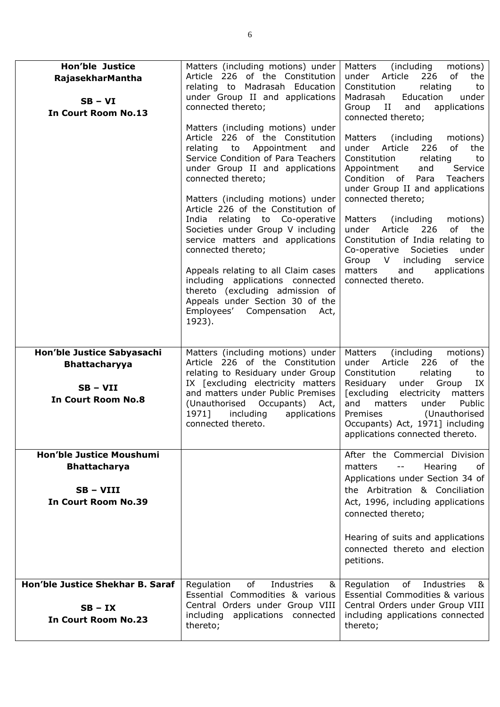| <b>Hon'ble Justice</b><br>RajasekharMantha<br>$SB - VI$<br><b>In Court Room No.13</b>           | Matters (including motions) under<br>Article 226 of the Constitution<br>relating to Madrasah Education<br>under Group II and applications<br>connected thereto;<br>Matters (including motions) under<br>Article 226 of the Constitution<br>Appointment<br>relating to<br>and<br>Service Condition of Para Teachers<br>under Group II and applications<br>connected thereto;<br>Matters (including motions) under<br>Article 226 of the Constitution of<br>India relating to Co-operative<br>Societies under Group V including<br>service matters and applications<br>connected thereto;<br>Appeals relating to all Claim cases<br>including applications connected<br>thereto (excluding admission of<br>Appeals under Section 30 of the<br>Employees' Compensation<br>Act,<br>1923). | (including<br>Matters<br>motions)<br>226<br>0f<br>under<br>Article<br>the<br>Constitution<br>relating<br>to<br>Madrasah<br>Education<br>under<br>Group II<br>and<br>applications<br>connected thereto;<br>Matters<br>(including)<br>motions)<br>of<br>under<br>Article<br>226<br>the<br>Constitution<br>relating<br>to<br>Appointment<br>Service<br>and<br>Condition of<br>Para<br><b>Teachers</b><br>under Group II and applications<br>connected thereto;<br>Matters<br>(including)<br>motions)<br>Article<br>226<br>of<br>under<br>the<br>Constitution of India relating to<br>Co-operative Societies<br>under<br>Group V including<br>service<br>matters<br>and<br>applications<br>connected thereto. |
|-------------------------------------------------------------------------------------------------|---------------------------------------------------------------------------------------------------------------------------------------------------------------------------------------------------------------------------------------------------------------------------------------------------------------------------------------------------------------------------------------------------------------------------------------------------------------------------------------------------------------------------------------------------------------------------------------------------------------------------------------------------------------------------------------------------------------------------------------------------------------------------------------|-----------------------------------------------------------------------------------------------------------------------------------------------------------------------------------------------------------------------------------------------------------------------------------------------------------------------------------------------------------------------------------------------------------------------------------------------------------------------------------------------------------------------------------------------------------------------------------------------------------------------------------------------------------------------------------------------------------|
| Hon'ble Justice Sabyasachi<br><b>Bhattacharyya</b><br>$SB - VII$<br><b>In Court Room No.8</b>   | Matters (including motions) under<br>Article 226 of the Constitution<br>relating to Residuary under Group<br>IX [excluding electricity matters<br>and matters under Public Premises<br>(Unauthorised Occupants)<br>Act,<br>1971]<br>including<br>applications<br>connected thereto.                                                                                                                                                                                                                                                                                                                                                                                                                                                                                                   | Matters<br>(including<br>motions)<br>under Article<br>226<br>of<br>the<br>relating<br>Constitution<br>to<br>Residuary<br>under Group<br>IX<br>[excluding<br>electricity<br>matters<br>and<br>matters<br>under<br>Public<br>Premises<br>(Unauthorised<br>Occupants) Act, 1971] including<br>applications connected thereto.                                                                                                                                                                                                                                                                                                                                                                                |
| <b>Hon'ble Justice Moushumi</b><br><b>Bhattacharya</b><br>SB-VIII<br><b>In Court Room No.39</b> |                                                                                                                                                                                                                                                                                                                                                                                                                                                                                                                                                                                                                                                                                                                                                                                       | After the Commercial Division<br>Hearing<br>matters<br>$- \, -$<br>of<br>Applications under Section 34 of<br>the Arbitration & Conciliation<br>Act, 1996, including applications<br>connected thereto;<br>Hearing of suits and applications<br>connected thereto and election<br>petitions.                                                                                                                                                                                                                                                                                                                                                                                                               |
| Hon'ble Justice Shekhar B. Saraf<br>$SB - IX$<br><b>In Court Room No.23</b>                     | Industries<br>Regulation<br>of<br>&<br>Essential Commodities & various<br>Central Orders under Group VIII<br>including applications connected<br>thereto;                                                                                                                                                                                                                                                                                                                                                                                                                                                                                                                                                                                                                             | Regulation<br>of<br>Industries<br>84<br>Essential Commodities & various<br>Central Orders under Group VIII<br>including applications connected<br>thereto;                                                                                                                                                                                                                                                                                                                                                                                                                                                                                                                                                |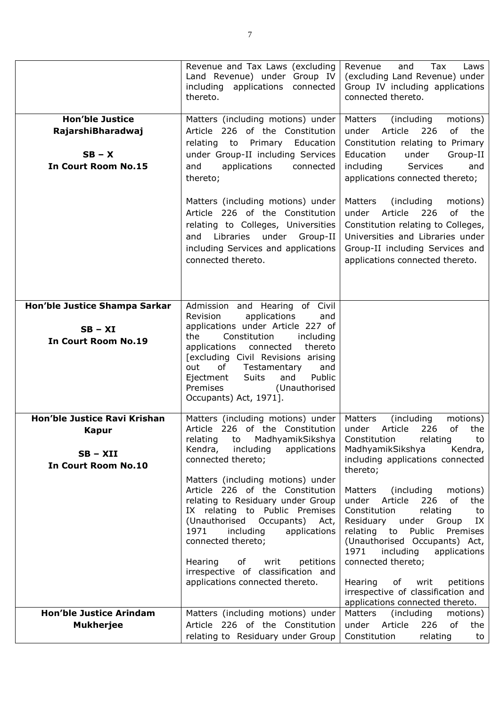|                                                                                          | Revenue and Tax Laws (excluding<br>Land Revenue) under Group IV<br>including applications connected<br>thereto.                                                                                                                                                                                                                                                | Revenue<br>Tax<br>and<br>Laws<br>(excluding Land Revenue) under<br>Group IV including applications<br>connected thereto.                                                                                                            |
|------------------------------------------------------------------------------------------|----------------------------------------------------------------------------------------------------------------------------------------------------------------------------------------------------------------------------------------------------------------------------------------------------------------------------------------------------------------|-------------------------------------------------------------------------------------------------------------------------------------------------------------------------------------------------------------------------------------|
| <b>Hon'ble Justice</b><br>RajarshiBharadwaj<br>$SB - X$<br><b>In Court Room No.15</b>    | Matters (including motions) under<br>Article 226 of the Constitution<br>relating to Primary Education<br>under Group-II including Services<br>and<br>applications<br>connected<br>thereto;                                                                                                                                                                     | Matters<br>(including<br>motions)<br>Article<br>under<br>226<br>of<br>the<br>Constitution relating to Primary<br>Education<br>under<br>Group-II<br>including<br>Services<br>and<br>applications connected thereto;                  |
|                                                                                          | Matters (including motions) under<br>Article 226 of the Constitution<br>relating to Colleges, Universities<br>and Libraries under Group-II<br>including Services and applications<br>connected thereto.                                                                                                                                                        | Matters<br>(including)<br>motions)<br>Article<br>of<br>under<br>226<br>the<br>Constitution relating to Colleges,<br>Universities and Libraries under<br>Group-II including Services and<br>applications connected thereto.          |
| Hon'ble Justice Shampa Sarkar<br>$SB - XI$<br><b>In Court Room No.19</b>                 | Admission and Hearing of Civil<br>applications<br>Revision<br>and<br>applications under Article 227 of<br>Constitution<br>the<br>including<br>applications connected<br>thereto<br>[excluding Civil Revisions arising<br>Testamentary<br>out<br>of<br>and<br><b>Suits</b><br>and<br>Public<br>Ejectment<br>Premises<br>(Unauthorised<br>Occupants) Act, 1971]. |                                                                                                                                                                                                                                     |
| Hon'ble Justice Ravi Krishan<br><b>Kapur</b><br>$SB - XII$<br><b>In Court Room No.10</b> | Matters (including motions) under<br>Article 226 of the Constitution<br>relating<br>to MadhyamikSikshya<br>applications<br>Kendra, including<br>connected thereto;<br>Matters (including motions) under<br>Article 226 of the Constitution                                                                                                                     | Matters<br>(including)<br>motions)<br>226<br>of<br>under<br>Article<br>the<br>Constitution<br>relating<br>to<br>MadhyamikSikshya<br>Kendra,<br>including applications connected<br>thereto;<br>Matters (including<br>motions)       |
|                                                                                          | relating to Residuary under Group<br>IX relating to Public Premises<br>(Unauthorised Occupants) Act,<br>1971<br>including<br>applications<br>connected thereto;<br>petitions<br>Hearing<br>of<br>writ<br>irrespective of classification and                                                                                                                    | Article<br>of<br>226<br>under<br>the<br>relating<br>Constitution<br>to<br>Residuary under Group<br>IX<br>relating to Public<br>Premises<br>(Unauthorised Occupants) Act,<br>1971<br>including<br>applications<br>connected thereto; |
|                                                                                          | applications connected thereto.                                                                                                                                                                                                                                                                                                                                | Hearing<br>of writ<br>petitions<br>irrespective of classification and<br>applications connected thereto.                                                                                                                            |
| <b>Hon'ble Justice Arindam</b>                                                           | Matters (including motions) under                                                                                                                                                                                                                                                                                                                              | Matters<br>(including<br>motions)                                                                                                                                                                                                   |
| <b>Mukherjee</b>                                                                         | Article 226 of the Constitution<br>relating to Residuary under Group                                                                                                                                                                                                                                                                                           | under Article<br>of<br>226<br>the<br>Constitution<br>relating<br>to                                                                                                                                                                 |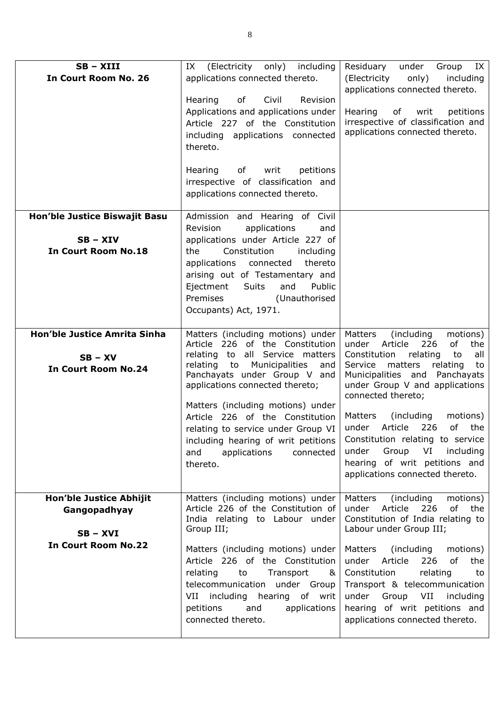| $SB - XIII$<br>In Court Room No. 26                                                 | (Electricity only) including<br>IX<br>applications connected thereto.<br>of<br>Civil<br>Hearing<br>Revision<br>Applications and applications under<br>Article 227 of the Constitution<br>including applications connected<br>thereto.<br>of<br>writ<br>petitions<br>Hearing<br>irrespective of classification and<br>applications connected thereto.                                                                    | Residuary under<br>Group IX<br>(Electricity<br>only)<br>including<br>applications connected thereto.<br>Hearing<br>of writ<br>petitions<br>irrespective of classification and<br>applications connected thereto.                                                                                                                                                                                                                                                             |
|-------------------------------------------------------------------------------------|-------------------------------------------------------------------------------------------------------------------------------------------------------------------------------------------------------------------------------------------------------------------------------------------------------------------------------------------------------------------------------------------------------------------------|------------------------------------------------------------------------------------------------------------------------------------------------------------------------------------------------------------------------------------------------------------------------------------------------------------------------------------------------------------------------------------------------------------------------------------------------------------------------------|
| Hon'ble Justice Biswajit Basu<br>$SB - XIV$<br><b>In Court Room No.18</b>           | Admission and Hearing of Civil<br>applications<br>Revision<br>and<br>applications under Article 227 of<br>Constitution<br>the<br>including<br>applications connected<br>thereto<br>arising out of Testamentary and<br>Ejectment<br>Suits<br>and<br>Public<br>Premises<br>(Unauthorised<br>Occupants) Act, 1971.                                                                                                         |                                                                                                                                                                                                                                                                                                                                                                                                                                                                              |
| Hon'ble Justice Amrita Sinha<br>$SB - XV$<br><b>In Court Room No.24</b>             | Matters (including motions) under<br>Article 226 of the Constitution<br>relating to all Service matters<br>relating to<br>Municipalities<br>and<br>Panchayats under Group V and<br>applications connected thereto;<br>Matters (including motions) under<br>Article 226 of the Constitution<br>relating to service under Group VI<br>including hearing of writ petitions<br>and<br>applications<br>connected<br>thereto. | Matters<br>(including)<br>motions)<br>226<br>of<br>under<br>Article<br>the<br>relating<br>to<br>Constitution<br>all<br>matters<br>Service<br>relating<br>to<br>Municipalities and Panchayats<br>under Group V and applications<br>connected thereto;<br>Matters<br>(including)<br>motions)<br>Article<br>226<br>of<br>under<br>the<br>Constitution relating to service<br>under<br>Group<br>VI including<br>hearing of writ petitions and<br>applications connected thereto. |
| Hon'ble Justice Abhijit<br>Gangopadhyay<br>$SB - XVI$<br><b>In Court Room No.22</b> | Matters (including motions) under<br>Article 226 of the Constitution of<br>India relating to Labour under<br>Group III;<br>Matters (including motions) under<br>Article 226 of the Constitution<br>relating<br>to<br>Transport<br>୍ଷ<br>telecommunication under Group<br>VII including hearing of writ<br>petitions<br>applications<br>and<br>connected thereto.                                                        | Matters<br>(including)<br>motions)<br>of<br>under<br>Article<br>226<br>the<br>Constitution of India relating to<br>Labour under Group III;<br>Matters (including<br>motions)<br>under Article<br>226<br>of<br>the<br>Constitution<br>relating<br>to<br>Transport & telecommunication<br>under Group VII including<br>hearing of writ petitions and<br>applications connected thereto.                                                                                        |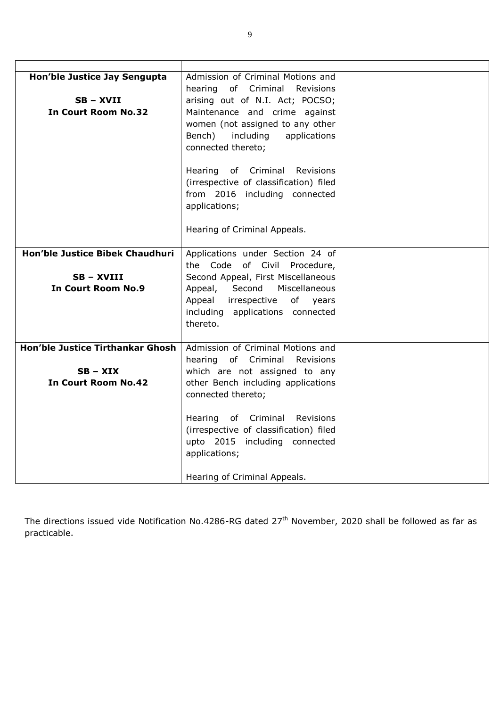| Hon'ble Justice Jay Sengupta            | Admission of Criminal Motions and      |  |
|-----------------------------------------|----------------------------------------|--|
|                                         | hearing of Criminal Revisions          |  |
| SB - XVII                               | arising out of N.I. Act; POCSO;        |  |
| <b>In Court Room No.32</b>              | Maintenance and crime against          |  |
|                                         | women (not assigned to any other       |  |
|                                         | Bench)<br>including<br>applications    |  |
|                                         | connected thereto;                     |  |
|                                         |                                        |  |
|                                         | Hearing of Criminal<br>Revisions       |  |
|                                         | (irrespective of classification) filed |  |
|                                         | from 2016 including connected          |  |
|                                         | applications;                          |  |
|                                         |                                        |  |
|                                         | Hearing of Criminal Appeals.           |  |
|                                         |                                        |  |
| <b>Hon'ble Justice Bibek Chaudhuri</b>  | Applications under Section 24 of       |  |
|                                         | Code of Civil Procedure,<br>the        |  |
| SB - XVIII                              | Second Appeal, First Miscellaneous     |  |
| <b>In Court Room No.9</b>               | Second<br>Miscellaneous<br>Appeal,     |  |
|                                         | Appeal<br>irrespective<br>of years     |  |
|                                         | including applications connected       |  |
|                                         | thereto.                               |  |
|                                         |                                        |  |
| <b>Hon'ble Justice Tirthankar Ghosh</b> | Admission of Criminal Motions and      |  |
|                                         | hearing of Criminal Revisions          |  |
| $SB - XIX$                              | which are not assigned to any          |  |
| <b>In Court Room No.42</b>              | other Bench including applications     |  |
|                                         | connected thereto;                     |  |
|                                         |                                        |  |
|                                         | Hearing of Criminal<br>Revisions       |  |
|                                         | (irrespective of classification) filed |  |
|                                         | upto 2015 including connected          |  |
|                                         | applications;                          |  |
|                                         |                                        |  |
|                                         | Hearing of Criminal Appeals.           |  |

The directions issued vide Notification No.4286-RG dated 27<sup>th</sup> November, 2020 shall be followed as far as practicable.